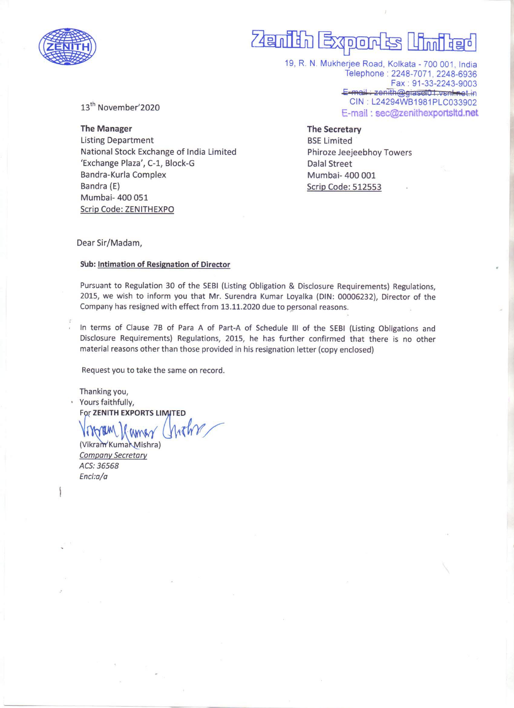

# $\overline{\phantom{a}}$  fin [Exqorertiss (Linaffrae) lored linn

19, R. N. Mukherjee Road, Kolkata - 700 001, India Telephone : 2248-7071, 2248-6936 Fax : 91-33-2243-9003<br>E-mail : zenith@giasel01.vsnl-net.in CIN : L24294WB1981PLC033902 E-mail : sec@zenithexportsitd.net

13" November'2020

The Manager Listing Department National Stock Exchange of India Limited 'Exchange Plaza', C-1, Block-G Bandra-Kurla Complex Bandra (E) Mumbai- 400 051 Scrip Code: ZENITHEXPO

The Secretary BSE Limited Phiroze Jeejeebhoy Towers Dalal Street Mumbai- 400 001 Scrip Code: 512553

Dear Sir/Madam,

#### Sub: Intimation of Resignation of Director

Pursuant to Regulation 30 of the SEBI (Listing Obligation & Disclosure Requirements) Regulations, 2015, we wish to inform you that Mr. Surendra Kumar Loyalka (DIN: 00006232), Director of the Company has resigned with effect from 13.11.2020 due to personal reasons.

In terms of Clause 7B of Para A of Part-A of Schedule Ill of the SEBI (Listing Obligations and Disclosure Requirements) Regulations, 2015, he has further confirmed that there is no other material reasons other than those provided in his resignation letter (copy enclosed)

Request you to take the same on record.

Thanking you,

Yours faithfully, For ZENITH EXPORTS LIMITED

crown Kamer Chit ae

(Vikram Kumak Mishra) Company Secretary ACS: 36568 Encl:a/a